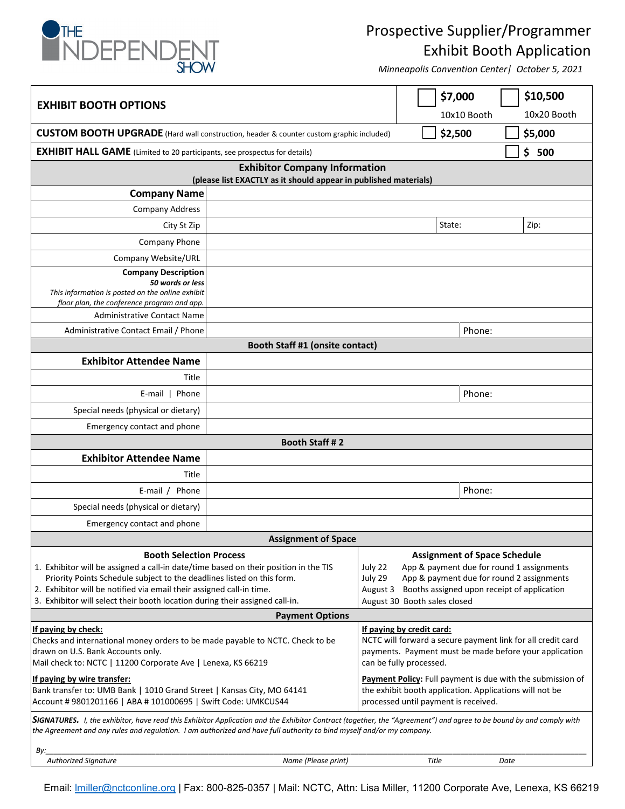

## Prospective Supplier/Programmer Exhibit Booth Application

*Minneapolis Convention Center| October 5, 2021*

| <b>EXHIBIT BOOTH OPTIONS</b>                                                                                                                                                                                                                                                                                                                                                                                                           |  |                                                                                                                                                                                                                                             | \$7,000<br>10x10 Booth    | \$10,500<br>10x20 Booth              |                                                         |  |
|----------------------------------------------------------------------------------------------------------------------------------------------------------------------------------------------------------------------------------------------------------------------------------------------------------------------------------------------------------------------------------------------------------------------------------------|--|---------------------------------------------------------------------------------------------------------------------------------------------------------------------------------------------------------------------------------------------|---------------------------|--------------------------------------|---------------------------------------------------------|--|
| <b>CUSTOM BOOTH UPGRADE</b> (Hard wall construction, header & counter custom graphic included)                                                                                                                                                                                                                                                                                                                                         |  |                                                                                                                                                                                                                                             | \$2,500                   | \$5,000                              |                                                         |  |
| <b>EXHIBIT HALL GAME</b> (Limited to 20 participants, see prospectus for details)                                                                                                                                                                                                                                                                                                                                                      |  |                                                                                                                                                                                                                                             | \$<br>500                 |                                      |                                                         |  |
| <b>Exhibitor Company Information</b>                                                                                                                                                                                                                                                                                                                                                                                                   |  |                                                                                                                                                                                                                                             |                           |                                      |                                                         |  |
| (please list EXACTLY as it should appear in published materials)                                                                                                                                                                                                                                                                                                                                                                       |  |                                                                                                                                                                                                                                             |                           |                                      |                                                         |  |
| <b>Company Name</b>                                                                                                                                                                                                                                                                                                                                                                                                                    |  |                                                                                                                                                                                                                                             |                           |                                      |                                                         |  |
| <b>Company Address</b>                                                                                                                                                                                                                                                                                                                                                                                                                 |  |                                                                                                                                                                                                                                             |                           |                                      |                                                         |  |
| City St Zip                                                                                                                                                                                                                                                                                                                                                                                                                            |  |                                                                                                                                                                                                                                             |                           | State:                               | Zip:                                                    |  |
| Company Phone                                                                                                                                                                                                                                                                                                                                                                                                                          |  |                                                                                                                                                                                                                                             |                           |                                      |                                                         |  |
| Company Website/URL                                                                                                                                                                                                                                                                                                                                                                                                                    |  |                                                                                                                                                                                                                                             |                           |                                      |                                                         |  |
| <b>Company Description</b><br>50 words or less<br>This information is posted on the online exhibit<br>floor plan, the conference program and app.<br><b>Administrative Contact Name</b>                                                                                                                                                                                                                                                |  |                                                                                                                                                                                                                                             |                           |                                      |                                                         |  |
| Administrative Contact Email / Phone                                                                                                                                                                                                                                                                                                                                                                                                   |  |                                                                                                                                                                                                                                             |                           | Phone:                               |                                                         |  |
| Booth Staff #1 (onsite contact)                                                                                                                                                                                                                                                                                                                                                                                                        |  |                                                                                                                                                                                                                                             |                           |                                      |                                                         |  |
| <b>Exhibitor Attendee Name</b>                                                                                                                                                                                                                                                                                                                                                                                                         |  |                                                                                                                                                                                                                                             |                           |                                      |                                                         |  |
| Title                                                                                                                                                                                                                                                                                                                                                                                                                                  |  |                                                                                                                                                                                                                                             |                           |                                      |                                                         |  |
| $E$ -mail $\vert$<br>Phone                                                                                                                                                                                                                                                                                                                                                                                                             |  |                                                                                                                                                                                                                                             |                           | Phone:                               |                                                         |  |
| Special needs (physical or dietary)                                                                                                                                                                                                                                                                                                                                                                                                    |  |                                                                                                                                                                                                                                             |                           |                                      |                                                         |  |
| Emergency contact and phone                                                                                                                                                                                                                                                                                                                                                                                                            |  |                                                                                                                                                                                                                                             |                           |                                      |                                                         |  |
| <b>Booth Staff #2</b>                                                                                                                                                                                                                                                                                                                                                                                                                  |  |                                                                                                                                                                                                                                             |                           |                                      |                                                         |  |
| <b>Exhibitor Attendee Name</b>                                                                                                                                                                                                                                                                                                                                                                                                         |  |                                                                                                                                                                                                                                             |                           |                                      |                                                         |  |
| Title                                                                                                                                                                                                                                                                                                                                                                                                                                  |  |                                                                                                                                                                                                                                             |                           |                                      |                                                         |  |
| E-mail / Phone                                                                                                                                                                                                                                                                                                                                                                                                                         |  |                                                                                                                                                                                                                                             |                           | Phone:                               |                                                         |  |
| Special needs (physical or dietary)                                                                                                                                                                                                                                                                                                                                                                                                    |  |                                                                                                                                                                                                                                             |                           |                                      |                                                         |  |
| Emergency contact and phone                                                                                                                                                                                                                                                                                                                                                                                                            |  |                                                                                                                                                                                                                                             |                           |                                      |                                                         |  |
| <b>Assignment of Space</b>                                                                                                                                                                                                                                                                                                                                                                                                             |  |                                                                                                                                                                                                                                             |                           |                                      |                                                         |  |
| <b>Booth Selection Process</b><br>1. Exhibitor will be assigned a call-in date/time based on their position in the TIS<br>Priority Points Schedule subject to the deadlines listed on this form.<br>2. Exhibitor will be notified via email their assigned call-in time.<br>3. Exhibitor will select their booth location during their assigned call-in.<br><b>Payment Options</b>                                                     |  | <b>Assignment of Space Schedule</b><br>July 22<br>App & payment due for round 1 assignments<br>App & payment due for round 2 assignments<br>July 29<br>August 3 Booths assigned upon receipt of application<br>August 30 Booth sales closed |                           |                                      |                                                         |  |
| If paying by check:                                                                                                                                                                                                                                                                                                                                                                                                                    |  |                                                                                                                                                                                                                                             | If paying by credit card: |                                      |                                                         |  |
| Checks and international money orders to be made payable to NCTC. Check to be<br>drawn on U.S. Bank Accounts only.<br>Mail check to: NCTC   11200 Corporate Ave   Lenexa, KS 66219<br>If paying by wire transfer:                                                                                                                                                                                                                      |  | NCTC will forward a secure payment link for all credit card<br>payments. Payment must be made before your application<br>can be fully processed.<br>Payment Policy: Full payment is due with the submission of                              |                           |                                      |                                                         |  |
| Bank transfer to: UMB Bank   1010 Grand Street   Kansas City, MO 64141<br>Account # 9801201166   ABA # 101000695   Swift Code: UMKCUS44<br>SIGNATURES. I, the exhibitor, have read this Exhibitor Application and the Exhibitor Contract (together, the "Agreement") and agree to be bound by and comply with<br>the Agreement and any rules and regulation. I am authorized and have full authority to bind myself and/or my company. |  |                                                                                                                                                                                                                                             |                           | processed until payment is received. | the exhibit booth application. Applications will not be |  |

Email: *Imiller@nctconline.org* | Fax: 800-825-0357 | Mail: NCTC, Attn: Lisa Miller, 11200 Corporate Ave, Lenexa, KS 66219

 *Authorized Signature Name (Please print) Title Date*

*By:\_\_\_\_\_\_\_\_\_\_\_\_\_\_\_\_\_\_\_\_\_\_\_\_\_\_\_\_\_\_\_\_\_\_\_\_\_\_\_\_\_\_\_\_\_\_\_\_\_\_\_\_\_\_\_\_\_\_\_\_\_\_\_\_\_\_\_\_\_\_\_\_\_\_\_\_\_\_\_\_\_\_\_\_\_\_\_\_\_\_\_\_\_\_\_\_\_\_\_\_\_\_\_\_\_\_\_\_\_\_\_\_\_\_\_\_\_\_\_\_\_\_\_\_\_\_\_\_\_\_\_\_\_*